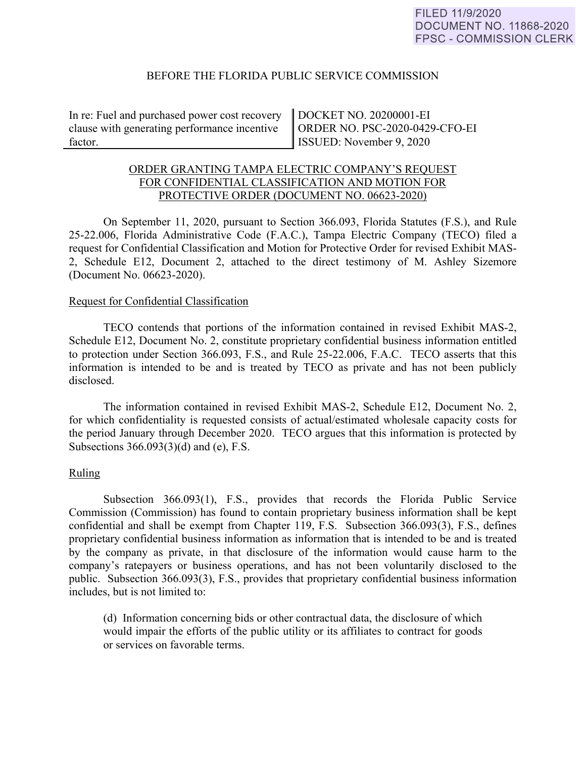#### BEFORE THE FLORIDA PUBLIC SERVICE COMMISSION

In re: Fuel and purchased power cost recovery clause with generating performance incentive factor.

DOCKET NO. 20200001-EI ORDER NO. PSC-2020-0429-CFO-EI ISSUED: November 9, 2020

# ORDER GRANTING TAMPA ELECTRIC COMPANY'S REQUEST FOR CONFIDENTIAL CLASSIFICATION AND MOTION FOR PROTECTIVE ORDER (DOCUMENT NO. 06623-2020)

On September 11, 2020, pursuant to Section 366.093, Florida Statutes (F.S.), and Rule 25-22.006, Florida Administrative Code (F.A.C.), Tampa Electric Company (TECO) filed a request for Confidential Classification and Motion for Protective Order for revised Exhibit MAS-2, Schedule E12, Document 2, attached to the direct testimony of M. Ashley Sizemore (Document No. 06623-2020).

#### Request for Confidential Classification

 TECO contends that portions of the information contained in revised Exhibit MAS-2, Schedule E12, Document No. 2, constitute proprietary confidential business information entitled to protection under Section 366.093, F.S., and Rule 25-22.006, F.A.C. TECO asserts that this information is intended to be and is treated by TECO as private and has not been publicly disclosed.

The information contained in revised Exhibit MAS-2, Schedule E12, Document No. 2, for which confidentiality is requested consists of actual/estimated wholesale capacity costs for the period January through December 2020. TECO argues that this information is protected by Subsections 366.093(3)(d) and (e), F.S.

## Ruling

Subsection 366.093(1), F.S., provides that records the Florida Public Service Commission (Commission) has found to contain proprietary business information shall be kept confidential and shall be exempt from Chapter 119, F.S. Subsection 366.093(3), F.S., defines proprietary confidential business information as information that is intended to be and is treated by the company as private, in that disclosure of the information would cause harm to the company's ratepayers or business operations, and has not been voluntarily disclosed to the public. Subsection 366.093(3), F.S., provides that proprietary confidential business information includes, but is not limited to:

 (d) Information concerning bids or other contractual data, the disclosure of which would impair the efforts of the public utility or its affiliates to contract for goods or services on favorable terms.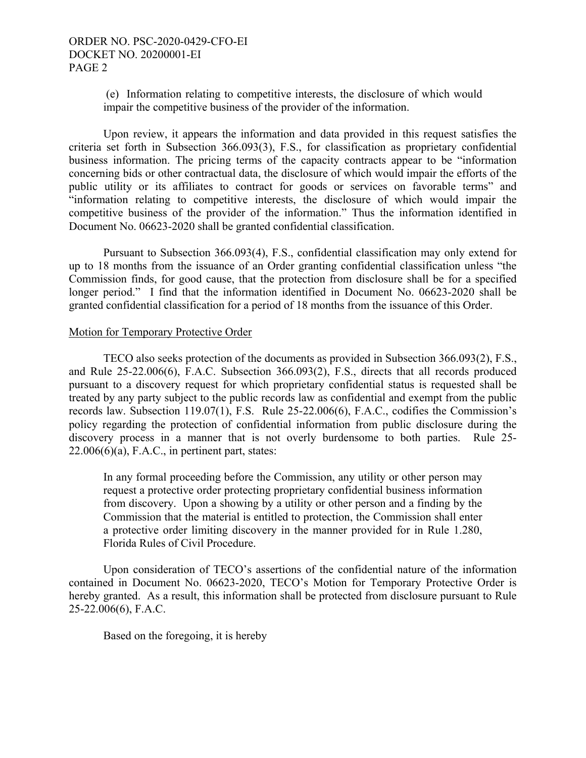(e) Information relating to competitive interests, the disclosure of which would impair the competitive business of the provider of the information.

Upon review, it appears the information and data provided in this request satisfies the criteria set forth in Subsection 366.093(3), F.S., for classification as proprietary confidential business information. The pricing terms of the capacity contracts appear to be "information concerning bids or other contractual data, the disclosure of which would impair the efforts of the public utility or its affiliates to contract for goods or services on favorable terms" and "information relating to competitive interests, the disclosure of which would impair the competitive business of the provider of the information." Thus the information identified in Document No. 06623-2020 shall be granted confidential classification.

Pursuant to Subsection 366.093(4), F.S., confidential classification may only extend for up to 18 months from the issuance of an Order granting confidential classification unless "the Commission finds, for good cause, that the protection from disclosure shall be for a specified longer period." I find that the information identified in Document No. 06623-2020 shall be granted confidential classification for a period of 18 months from the issuance of this Order.

#### Motion for Temporary Protective Order

TECO also seeks protection of the documents as provided in Subsection 366.093(2), F.S., and Rule 25-22.006(6), F.A.C. Subsection 366.093(2), F.S., directs that all records produced pursuant to a discovery request for which proprietary confidential status is requested shall be treated by any party subject to the public records law as confidential and exempt from the public records law. Subsection 119.07(1), F.S. Rule 25-22.006(6), F.A.C., codifies the Commission's policy regarding the protection of confidential information from public disclosure during the discovery process in a manner that is not overly burdensome to both parties. Rule 25-  $22.006(6)(a)$ , F.A.C., in pertinent part, states:

In any formal proceeding before the Commission, any utility or other person may request a protective order protecting proprietary confidential business information from discovery. Upon a showing by a utility or other person and a finding by the Commission that the material is entitled to protection, the Commission shall enter a protective order limiting discovery in the manner provided for in Rule 1.280, Florida Rules of Civil Procedure.

 Upon consideration of TECO's assertions of the confidential nature of the information contained in Document No. 06623-2020, TECO's Motion for Temporary Protective Order is hereby granted. As a result, this information shall be protected from disclosure pursuant to Rule 25-22.006(6), F.A.C.

Based on the foregoing, it is hereby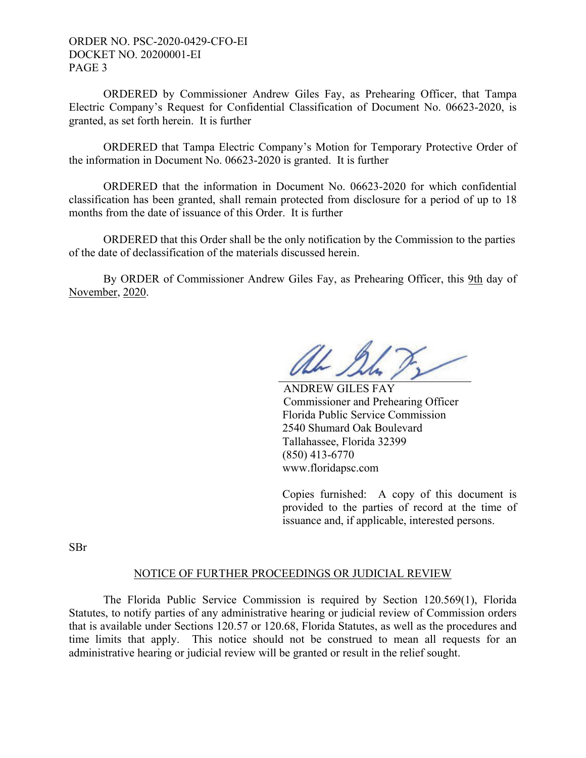ORDER NO. PSC-2020-0429-CFO-EI DOCKET NO. 20200001-EI PAGE 3

 ORDERED by Commissioner Andrew Giles Fay, as Prehearing Officer, that Tampa Electric Company's Request for Confidential Classification of Document No. 06623-2020, is granted, as set forth herein. It is further

 ORDERED that Tampa Electric Company's Motion for Temporary Protective Order of the information in Document No. 06623-2020 is granted. It is further

 ORDERED that the information in Document No. 06623-2020 for which confidential classification has been granted, shall remain protected from disclosure for a period of up to 18 months from the date of issuance of this Order. It is further

 ORDERED that this Order shall be the only notification by the Commission to the parties of the date of declassification of the materials discussed herein.

By ORDER of Commissioner Andrew Giles Fay, as Prehearing Officer, this 9th day of November, 2020.

al Su

 ANDREW GILES FAY Commissioner and Prehearing Officer Florida Public Service Commission 2540 Shumard Oak Boulevard Tallahassee, Florida 32399 (850) 413-6770 www.floridapsc.com

Copies furnished: A copy of this document is provided to the parties of record at the time of issuance and, if applicable, interested persons.

SBr

## NOTICE OF FURTHER PROCEEDINGS OR JUDICIAL REVIEW

 The Florida Public Service Commission is required by Section 120.569(1), Florida Statutes, to notify parties of any administrative hearing or judicial review of Commission orders that is available under Sections 120.57 or 120.68, Florida Statutes, as well as the procedures and time limits that apply. This notice should not be construed to mean all requests for an administrative hearing or judicial review will be granted or result in the relief sought.